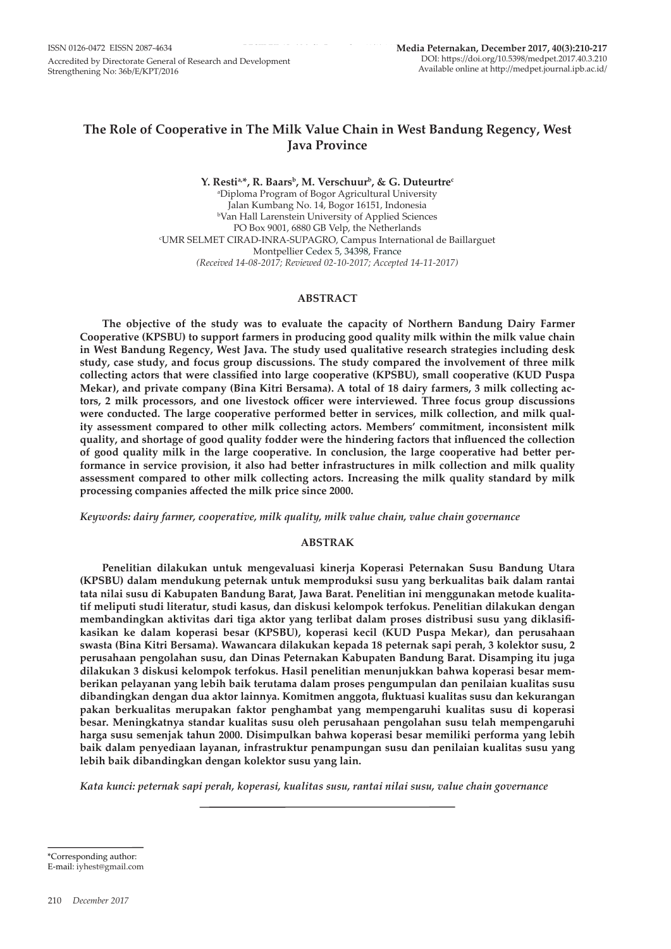# **The Role of Cooperative in The Milk Value Chain in West Bandung Regency, West Java Province**

Y. Resti<sup>a,\*</sup>, R. Baars<sup>b</sup>, M. Verschuur<sup>b</sup>, & G. Duteurtre<sup>c</sup> a Diploma Program of Bogor Agricultural University Jalan Kumbang No. 14, Bogor 16151, Indonesia b Van Hall Larenstein University of Applied Sciences PO Box 9001, 6880 GB Velp, the Netherlands c UMR SELMET CIRAD-INRA-SUPAGRO, Campus International de Baillarguet Montpellier Cedex 5, 34398, France *(Received 14-08-2017; Reviewed 02-10-2017; Accepted 14-11-2017)*

### **ABSTRACT**

**The objective of the study was to evaluate the capacity of Northern Bandung Dairy Farmer Cooperative (KPSBU) to support farmers in producing good quality milk within the milk value chain in West Bandung Regency, West Java. The study used qualitative research strategies including desk study, case study, and focus group discussions. The study compared the involvement of three milk collecting actors that were classified into large cooperative (KPSBU), small cooperative (KUD Puspa Mekar), and private company (Bina Kitri Bersama). A total of 18 dairy farmers, 3 milk collecting actors, 2 milk processors, and one livestock officer were interviewed. Three focus group discussions were conducted. The large cooperative performed better in services, milk collection, and milk quality assessment compared to other milk collecting actors. Members' commitment, inconsistent milk quality, and shortage of good quality fodder were the hindering factors that influenced the collection of good quality milk in the large cooperative. In conclusion, the large cooperative had better performance in service provision, it also had better infrastructures in milk collection and milk quality assessment compared to other milk collecting actors. Increasing the milk quality standard by milk processing companies affected the milk price since 2000.** 

*Keywords: dairy farmer, cooperative, milk quality, milk value chain, value chain governance*

### **ABSTRAK**

**Penelitian dilakukan untuk mengevaluasi kinerja Koperasi Peternakan Susu Bandung Utara (KPSBU) dalam mendukung peternak untuk memproduksi susu yang berkualitas baik dalam rantai tata nilai susu di Kabupaten Bandung Barat, Jawa Barat. Penelitian ini menggunakan metode kualitatif meliputi studi literatur, studi kasus, dan diskusi kelompok terfokus. Penelitian dilakukan dengan membandingkan aktivitas dari tiga aktor yang terlibat dalam proses distribusi susu yang diklasifikasikan ke dalam koperasi besar (KPSBU), koperasi kecil (KUD Puspa Mekar), dan perusahaan swasta (Bina Kitri Bersama). Wawancara dilakukan kepada 18 peternak sapi perah, 3 kolektor susu, 2 perusahaan pengolahan susu, dan Dinas Peternakan Kabupaten Bandung Barat. Disamping itu juga dilakukan 3 diskusi kelompok terfokus. Hasil penelitian menunjukkan bahwa koperasi besar memberikan pelayanan yang lebih baik terutama dalam proses pengumpulan dan penilaian kualitas susu dibandingkan dengan dua aktor lainnya. Komitmen anggota, fluktuasi kualitas susu dan kekurangan pakan berkualitas merupakan faktor penghambat yang mempengaruhi kualitas susu di koperasi besar. Meningkatnya standar kualitas susu oleh perusahaan pengolahan susu telah mempengaruhi harga susu semenjak tahun 2000. Disimpulkan bahwa koperasi besar memiliki performa yang lebih baik dalam penyediaan layanan, infrastruktur penampungan susu dan penilaian kualitas susu yang lebih baik dibandingkan dengan kolektor susu yang lain.** 

*Kata kunci: peternak sapi perah, koperasi, kualitas susu, rantai nilai susu, value chain governance*

\*Corresponding author: E-mail: iyhest@gmail.com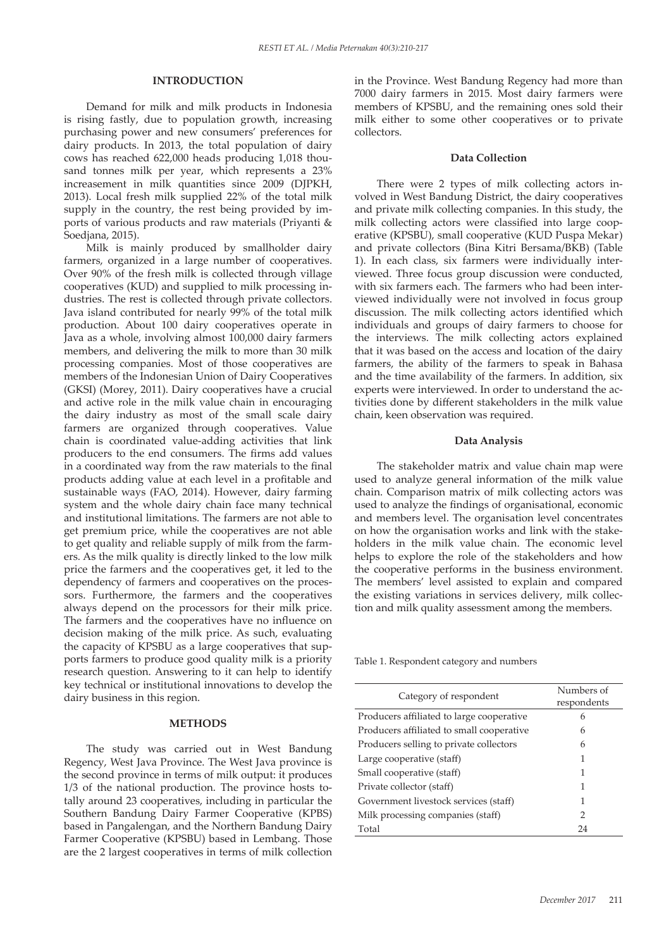### **INTRODUCTION**

Demand for milk and milk products in Indonesia is rising fastly, due to population growth, increasing purchasing power and new consumers' preferences for dairy products. In 2013, the total population of dairy cows has reached 622,000 heads producing 1,018 thousand tonnes milk per year, which represents a 23% increasement in milk quantities since 2009 (DJPKH, 2013). Local fresh milk supplied 22% of the total milk supply in the country, the rest being provided by imports of various products and raw materials (Priyanti & Soedjana, 2015).

Milk is mainly produced by smallholder dairy farmers, organized in a large number of cooperatives. Over 90% of the fresh milk is collected through village cooperatives (KUD) and supplied to milk processing industries. The rest is collected through private collectors. Java island contributed for nearly 99% of the total milk production. About 100 dairy cooperatives operate in Java as a whole, involving almost 100,000 dairy farmers members, and delivering the milk to more than 30 milk processing companies. Most of those cooperatives are members of the Indonesian Union of Dairy Cooperatives (GKSI) (Morey, 2011). Dairy cooperatives have a crucial and active role in the milk value chain in encouraging the dairy industry as most of the small scale dairy farmers are organized through cooperatives. Value chain is coordinated value-adding activities that link producers to the end consumers. The firms add values in a coordinated way from the raw materials to the final products adding value at each level in a profitable and sustainable ways (FAO, 2014). However, dairy farming system and the whole dairy chain face many technical and institutional limitations. The farmers are not able to get premium price, while the cooperatives are not able to get quality and reliable supply of milk from the farmers. As the milk quality is directly linked to the low milk price the farmers and the cooperatives get, it led to the dependency of farmers and cooperatives on the processors. Furthermore, the farmers and the cooperatives always depend on the processors for their milk price. The farmers and the cooperatives have no influence on decision making of the milk price. As such, evaluating the capacity of KPSBU as a large cooperatives that supports farmers to produce good quality milk is a priority research question. Answering to it can help to identify key technical or institutional innovations to develop the dairy business in this region.

#### **METHODS**

The study was carried out in West Bandung Regency, West Java Province. The West Java province is the second province in terms of milk output: it produces 1/3 of the national production. The province hosts totally around 23 cooperatives, including in particular the Southern Bandung Dairy Farmer Cooperative (KPBS) based in Pangalengan, and the Northern Bandung Dairy Farmer Cooperative (KPSBU) based in Lembang. Those are the 2 largest cooperatives in terms of milk collection

in the Province. West Bandung Regency had more than 7000 dairy farmers in 2015. Most dairy farmers were members of KPSBU, and the remaining ones sold their milk either to some other cooperatives or to private collectors.

#### **Data Collection**

There were 2 types of milk collecting actors involved in West Bandung District, the dairy cooperatives and private milk collecting companies. In this study, the milk collecting actors were classified into large cooperative (KPSBU), small cooperative (KUD Puspa Mekar) and private collectors (Bina Kitri Bersama/BKB) (Table 1). In each class, six farmers were individually interviewed. Three focus group discussion were conducted, with six farmers each. The farmers who had been interviewed individually were not involved in focus group discussion. The milk collecting actors identified which individuals and groups of dairy farmers to choose for the interviews. The milk collecting actors explained that it was based on the access and location of the dairy farmers, the ability of the farmers to speak in Bahasa and the time availability of the farmers. In addition, six experts were interviewed. In order to understand the activities done by different stakeholders in the milk value chain, keen observation was required.

### **Data Analysis**

The stakeholder matrix and value chain map were used to analyze general information of the milk value chain. Comparison matrix of milk collecting actors was used to analyze the findings of organisational, economic and members level. The organisation level concentrates on how the organisation works and link with the stakeholders in the milk value chain. The economic level helps to explore the role of the stakeholders and how the cooperative performs in the business environment. The members' level assisted to explain and compared the existing variations in services delivery, milk collection and milk quality assessment among the members.

Table 1. Respondent category and numbers

| Category of respondent                    | Numbers of<br>respondents |
|-------------------------------------------|---------------------------|
| Producers affiliated to large cooperative | 6                         |
| Producers affiliated to small cooperative | 6                         |
| Producers selling to private collectors   | 6                         |
| Large cooperative (staff)                 | 1                         |
| Small cooperative (staff)                 | 1                         |
| Private collector (staff)                 |                           |
| Government livestock services (staff)     | 1                         |
| Milk processing companies (staff)         | 2                         |
| Total                                     | 24                        |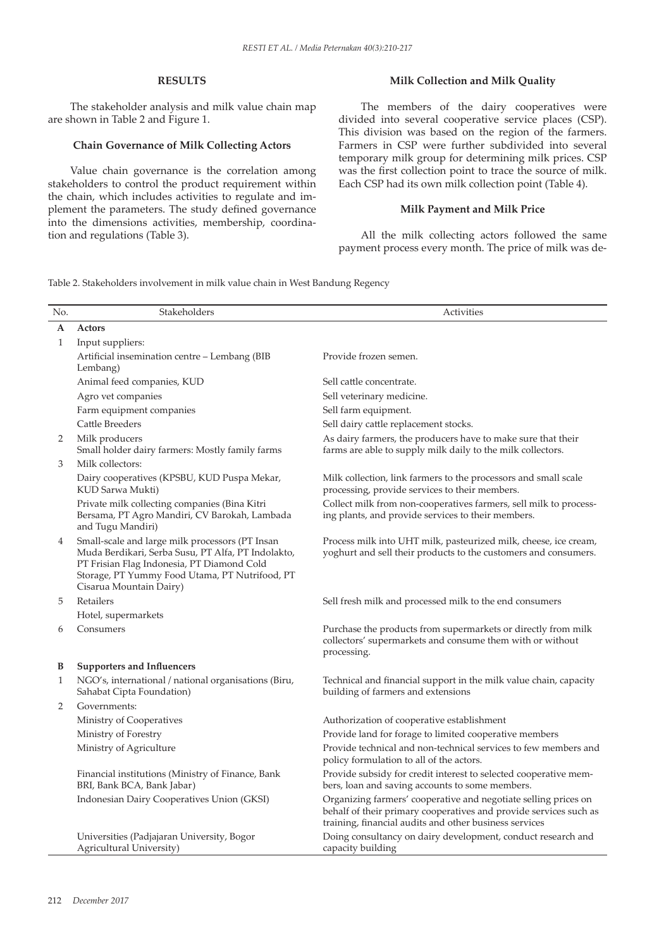## **RESULTS**

The stakeholder analysis and milk value chain map are shown in Table 2 and Figure 1.

### **Chain Governance of Milk Collecting Actors**

Value chain governance is the correlation among stakeholders to control the product requirement within the chain, which includes activities to regulate and implement the parameters. The study defined governance into the dimensions activities, membership, coordination and regulations (Table 3).

### **Milk Collection and Milk Quality**

The members of the dairy cooperatives were divided into several cooperative service places (CSP). This division was based on the region of the farmers. Farmers in CSP were further subdivided into several temporary milk group for determining milk prices. CSP was the first collection point to trace the source of milk. Each CSP had its own milk collection point (Table 4).

### **Milk Payment and Milk Price**

All the milk collecting actors followed the same payment process every month. The price of milk was de-

Table 2. Stakeholders involvement in milk value chain in West Bandung Regency

| No. | Stakeholders                                                                                                                                                                                                                     | Activities                                                                                                                                                                                     |
|-----|----------------------------------------------------------------------------------------------------------------------------------------------------------------------------------------------------------------------------------|------------------------------------------------------------------------------------------------------------------------------------------------------------------------------------------------|
| A   | Actors                                                                                                                                                                                                                           |                                                                                                                                                                                                |
| 1   | Input suppliers:                                                                                                                                                                                                                 |                                                                                                                                                                                                |
|     | Artificial insemination centre - Lembang (BIB<br>Lembang)                                                                                                                                                                        | Provide frozen semen.                                                                                                                                                                          |
|     | Animal feed companies, KUD                                                                                                                                                                                                       | Sell cattle concentrate.                                                                                                                                                                       |
|     | Agro vet companies                                                                                                                                                                                                               | Sell veterinary medicine.                                                                                                                                                                      |
|     | Farm equipment companies                                                                                                                                                                                                         | Sell farm equipment.                                                                                                                                                                           |
|     | Cattle Breeders                                                                                                                                                                                                                  | Sell dairy cattle replacement stocks.                                                                                                                                                          |
| 2   | Milk producers<br>Small holder dairy farmers: Mostly family farms                                                                                                                                                                | As dairy farmers, the producers have to make sure that their<br>farms are able to supply milk daily to the milk collectors.                                                                    |
| 3   | Milk collectors:                                                                                                                                                                                                                 |                                                                                                                                                                                                |
|     | Dairy cooperatives (KPSBU, KUD Puspa Mekar,<br>KUD Sarwa Mukti)                                                                                                                                                                  | Milk collection, link farmers to the processors and small scale<br>processing, provide services to their members.                                                                              |
|     | Private milk collecting companies (Bina Kitri<br>Bersama, PT Agro Mandiri, CV Barokah, Lambada<br>and Tugu Mandiri)                                                                                                              | Collect milk from non-cooperatives farmers, sell milk to process-<br>ing plants, and provide services to their members.                                                                        |
| 4   | Small-scale and large milk processors (PT Insan<br>Muda Berdikari, Serba Susu, PT Alfa, PT Indolakto,<br>PT Frisian Flag Indonesia, PT Diamond Cold<br>Storage, PT Yummy Food Utama, PT Nutrifood, PT<br>Cisarua Mountain Dairy) | Process milk into UHT milk, pasteurized milk, cheese, ice cream,<br>yoghurt and sell their products to the customers and consumers.                                                            |
| 5   | Retailers                                                                                                                                                                                                                        | Sell fresh milk and processed milk to the end consumers                                                                                                                                        |
|     | Hotel, supermarkets                                                                                                                                                                                                              |                                                                                                                                                                                                |
| 6   | Consumers                                                                                                                                                                                                                        | Purchase the products from supermarkets or directly from milk<br>collectors' supermarkets and consume them with or without<br>processing.                                                      |
| B   | <b>Supporters and Influencers</b>                                                                                                                                                                                                |                                                                                                                                                                                                |
| 1   | NGO's, international / national organisations (Biru,<br>Sahabat Cipta Foundation)                                                                                                                                                | Technical and financial support in the milk value chain, capacity<br>building of farmers and extensions                                                                                        |
| 2   | Governments:                                                                                                                                                                                                                     |                                                                                                                                                                                                |
|     | Ministry of Cooperatives                                                                                                                                                                                                         | Authorization of cooperative establishment                                                                                                                                                     |
|     | Ministry of Forestry                                                                                                                                                                                                             | Provide land for forage to limited cooperative members                                                                                                                                         |
|     | Ministry of Agriculture                                                                                                                                                                                                          | Provide technical and non-technical services to few members and<br>policy formulation to all of the actors.                                                                                    |
|     | Financial institutions (Ministry of Finance, Bank<br>BRI, Bank BCA, Bank Jabar)                                                                                                                                                  | Provide subsidy for credit interest to selected cooperative mem-<br>bers, loan and saving accounts to some members.                                                                            |
|     | Indonesian Dairy Cooperatives Union (GKSI)                                                                                                                                                                                       | Organizing farmers' cooperative and negotiate selling prices on<br>behalf of their primary cooperatives and provide services such as<br>training, financial audits and other business services |
|     | Universities (Padjajaran University, Bogor<br>Agricultural University)                                                                                                                                                           | Doing consultancy on dairy development, conduct research and<br>capacity building                                                                                                              |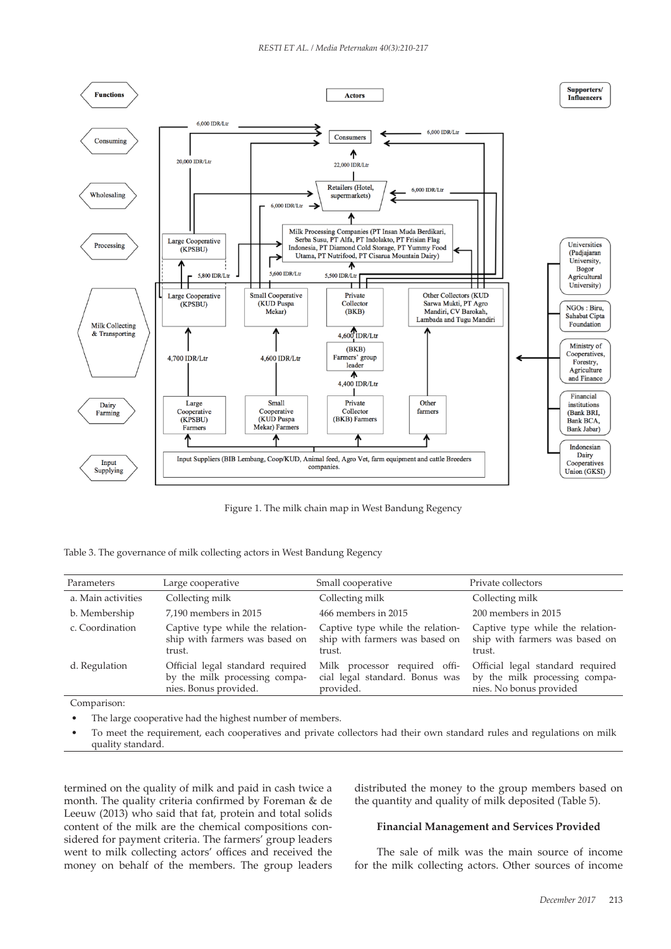

Figure 1. The milk chain map in West Bandung Regency

| Table 3. The governance of milk collecting actors in West Bandung Regency |  |  |  |
|---------------------------------------------------------------------------|--|--|--|
|                                                                           |  |  |  |

| Parameters         | Large cooperative                                                                          | Small cooperative                                                            | Private collectors                                                                           |
|--------------------|--------------------------------------------------------------------------------------------|------------------------------------------------------------------------------|----------------------------------------------------------------------------------------------|
| a. Main activities | Collecting milk                                                                            | Collecting milk                                                              | Collecting milk                                                                              |
| b. Membership      | 7,190 members in 2015                                                                      | 466 members in 2015                                                          | 200 members in 2015                                                                          |
| c. Coordination    | Captive type while the relation-<br>ship with farmers was based on<br>trust.               | Captive type while the relation-<br>ship with farmers was based on<br>trust. | Captive type while the relation-<br>ship with farmers was based on<br>trust.                 |
| d. Regulation      | Official legal standard required<br>by the milk processing compa-<br>nies. Bonus provided. | Milk processor required offi-<br>cial legal standard. Bonus was<br>provided. | Official legal standard required<br>by the milk processing compa-<br>nies. No bonus provided |
| Comparison:        |                                                                                            |                                                                              |                                                                                              |

The large cooperative had the highest number of members.

• To meet the requirement, each cooperatives and private collectors had their own standard rules and regulations on milk quality standard.

termined on the quality of milk and paid in cash twice a month. The quality criteria confirmed by Foreman & de Leeuw (2013) who said that fat, protein and total solids content of the milk are the chemical compositions considered for payment criteria. The farmers' group leaders went to milk collecting actors' offices and received the money on behalf of the members. The group leaders distributed the money to the group members based on the quantity and quality of milk deposited (Table 5).

### **Financial Management and Services Provided**

The sale of milk was the main source of income for the milk collecting actors. Other sources of income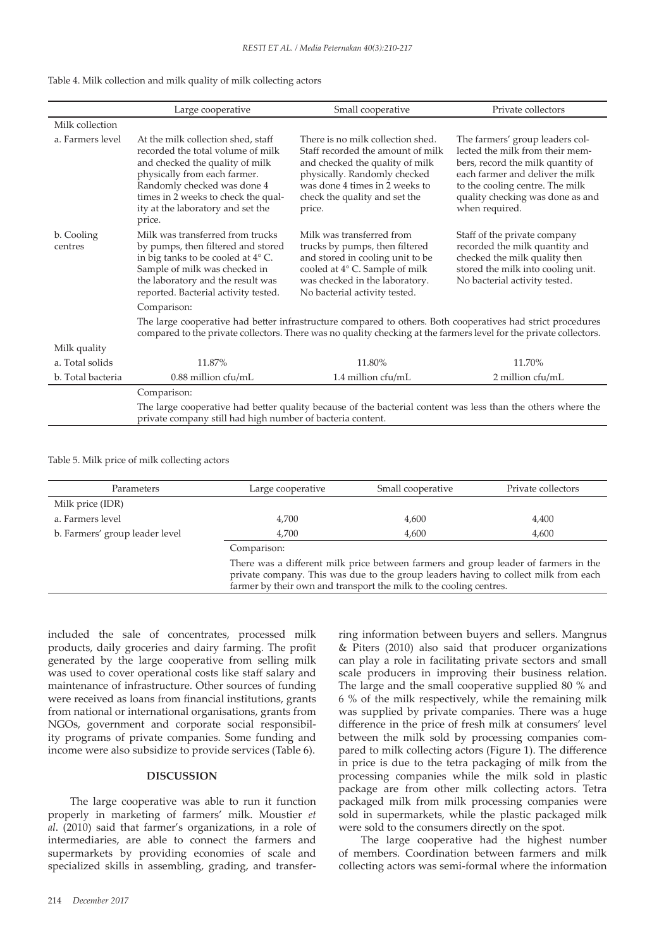|  |  |  |  |  |  |  |  | Table 4. Milk collection and milk quality of milk collecting actors |  |
|--|--|--|--|--|--|--|--|---------------------------------------------------------------------|--|
|--|--|--|--|--|--|--|--|---------------------------------------------------------------------|--|

|                       | Large cooperative                                                                                                                                                                                                                                               | Small cooperative                                                                                                                                                                                                      | Private collectors                                                                                                                                                                                                                   |  |  |  |
|-----------------------|-----------------------------------------------------------------------------------------------------------------------------------------------------------------------------------------------------------------------------------------------------------------|------------------------------------------------------------------------------------------------------------------------------------------------------------------------------------------------------------------------|--------------------------------------------------------------------------------------------------------------------------------------------------------------------------------------------------------------------------------------|--|--|--|
| Milk collection       |                                                                                                                                                                                                                                                                 |                                                                                                                                                                                                                        |                                                                                                                                                                                                                                      |  |  |  |
| a. Farmers level      | At the milk collection shed, staff<br>recorded the total volume of milk<br>and checked the quality of milk<br>physically from each farmer.<br>Randomly checked was done 4<br>times in 2 weeks to check the qual-<br>ity at the laboratory and set the<br>price. | There is no milk collection shed.<br>Staff recorded the amount of milk<br>and checked the quality of milk<br>physically. Randomly checked<br>was done 4 times in 2 weeks to<br>check the quality and set the<br>price. | The farmers' group leaders col-<br>lected the milk from their mem-<br>bers, record the milk quantity of<br>each farmer and deliver the milk<br>to the cooling centre. The milk<br>quality checking was done as and<br>when required. |  |  |  |
| b. Cooling<br>centres | Milk was transferred from trucks<br>by pumps, then filtered and stored<br>in big tanks to be cooled at $4^{\circ}$ C.<br>Sample of milk was checked in<br>the laboratory and the result was<br>reported. Bacterial activity tested.                             | Milk was transferred from<br>trucks by pumps, then filtered<br>and stored in cooling unit to be<br>cooled at 4° C. Sample of milk<br>was checked in the laboratory.<br>No bacterial activity tested.                   | Staff of the private company<br>recorded the milk quantity and<br>checked the milk quality then<br>stored the milk into cooling unit.<br>No bacterial activity tested.                                                               |  |  |  |
|                       | Comparison:                                                                                                                                                                                                                                                     |                                                                                                                                                                                                                        |                                                                                                                                                                                                                                      |  |  |  |
|                       | The large cooperative had better infrastructure compared to others. Both cooperatives had strict procedures<br>compared to the private collectors. There was no quality checking at the farmers level for the private collectors.                               |                                                                                                                                                                                                                        |                                                                                                                                                                                                                                      |  |  |  |
| Milk quality          |                                                                                                                                                                                                                                                                 |                                                                                                                                                                                                                        |                                                                                                                                                                                                                                      |  |  |  |
| a. Total solids       | 11.87%                                                                                                                                                                                                                                                          | 11.80%                                                                                                                                                                                                                 | 11.70%                                                                                                                                                                                                                               |  |  |  |
| b. Total bacteria     | 0.88 million cfu/mL<br>1.4 million cfu/mL<br>2 million cfu/mL                                                                                                                                                                                                   |                                                                                                                                                                                                                        |                                                                                                                                                                                                                                      |  |  |  |
|                       | Comparison:                                                                                                                                                                                                                                                     |                                                                                                                                                                                                                        |                                                                                                                                                                                                                                      |  |  |  |
|                       | The large cooperative had better quality because of the bacterial content was less than the others where the<br>private company still had high number of bacteria content.                                                                                      |                                                                                                                                                                                                                        |                                                                                                                                                                                                                                      |  |  |  |

#### Table 5. Milk price of milk collecting actors

| Parameters                     | Large cooperative                                                                                                                                                                                                                                | Small cooperative | Private collectors |  |
|--------------------------------|--------------------------------------------------------------------------------------------------------------------------------------------------------------------------------------------------------------------------------------------------|-------------------|--------------------|--|
| Milk price (IDR)               |                                                                                                                                                                                                                                                  |                   |                    |  |
| a. Farmers level               | 4,700                                                                                                                                                                                                                                            | 4,600             | 4,400              |  |
| b. Farmers' group leader level | 4,700<br>4.600                                                                                                                                                                                                                                   |                   | 4,600              |  |
|                                | Comparison:                                                                                                                                                                                                                                      |                   |                    |  |
|                                | There was a different milk price between farmers and group leader of farmers in the<br>private company. This was due to the group leaders having to collect milk from each<br>farmer by their own and transport the milk to the cooling centres. |                   |                    |  |

included the sale of concentrates, processed milk products, daily groceries and dairy farming. The profit generated by the large cooperative from selling milk was used to cover operational costs like staff salary and maintenance of infrastructure. Other sources of funding were received as loans from financial institutions, grants from national or international organisations, grants from NGOs, government and corporate social responsibility programs of private companies. Some funding and income were also subsidize to provide services (Table 6).

# **DISCUSSION**

The large cooperative was able to run it function properly in marketing of farmers' milk. Moustier *et al*. (2010) said that farmer's organizations, in a role of intermediaries, are able to connect the farmers and supermarkets by providing economies of scale and specialized skills in assembling, grading, and transfer-

ring information between buyers and sellers. Mangnus & Piters (2010) also said that producer organizations can play a role in facilitating private sectors and small scale producers in improving their business relation. The large and the small cooperative supplied 80 % and 6 % of the milk respectively, while the remaining milk was supplied by private companies. There was a huge difference in the price of fresh milk at consumers' level between the milk sold by processing companies compared to milk collecting actors (Figure 1). The difference in price is due to the tetra packaging of milk from the processing companies while the milk sold in plastic package are from other milk collecting actors. Tetra packaged milk from milk processing companies were sold in supermarkets, while the plastic packaged milk were sold to the consumers directly on the spot.

The large cooperative had the highest number of members. Coordination between farmers and milk collecting actors was semi-formal where the information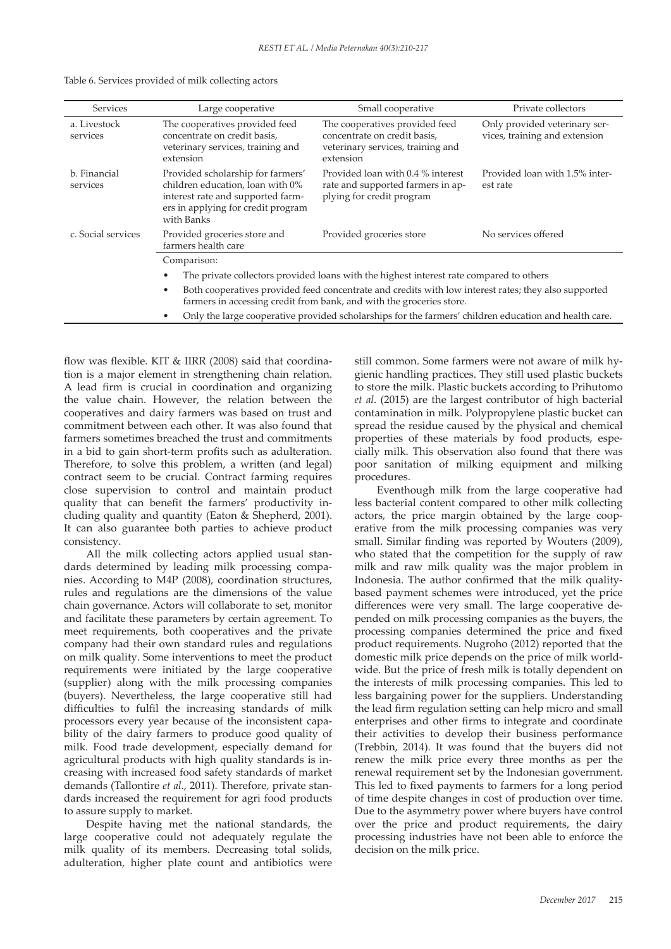| <b>Services</b>                                                                                                                                                                            | Large cooperative                                                                                                                                                                         | Small cooperative                                                                                                | Private collectors                                             |  |  |  |
|--------------------------------------------------------------------------------------------------------------------------------------------------------------------------------------------|-------------------------------------------------------------------------------------------------------------------------------------------------------------------------------------------|------------------------------------------------------------------------------------------------------------------|----------------------------------------------------------------|--|--|--|
| a. Livestock<br>services                                                                                                                                                                   | The cooperatives provided feed<br>concentrate on credit basis,<br>veterinary services, training and<br>extension                                                                          | The cooperatives provided feed<br>concentrate on credit basis,<br>veterinary services, training and<br>extension | Only provided veterinary ser-<br>vices, training and extension |  |  |  |
| b. Financial<br>Provided scholarship for farmers'<br>children education, loan with 0%<br>services<br>interest rate and supported farm-<br>ers in applying for credit program<br>with Banks |                                                                                                                                                                                           | Provided loan with 0.4 % interest<br>rate and supported farmers in ap-<br>plying for credit program              | Provided loan with 1.5% inter-<br>est rate                     |  |  |  |
| c. Social services                                                                                                                                                                         | Provided groceries store and<br>farmers health care                                                                                                                                       | Provided groceries store                                                                                         | No services offered                                            |  |  |  |
|                                                                                                                                                                                            | Comparison:                                                                                                                                                                               |                                                                                                                  |                                                                |  |  |  |
|                                                                                                                                                                                            | The private collectors provided loans with the highest interest rate compared to others                                                                                                   |                                                                                                                  |                                                                |  |  |  |
|                                                                                                                                                                                            | Both cooperatives provided feed concentrate and credits with low interest rates; they also supported<br>$\bullet$<br>farmers in accessing credit from bank, and with the groceries store. |                                                                                                                  |                                                                |  |  |  |
|                                                                                                                                                                                            | Only the large cooperative provided scholarships for the farmers' children education and health care.<br>٠                                                                                |                                                                                                                  |                                                                |  |  |  |

Table 6. Services provided of milk collecting actors

flow was flexible. KIT & IIRR (2008) said that coordination is a major element in strengthening chain relation. A lead firm is crucial in coordination and organizing the value chain. However, the relation between the cooperatives and dairy farmers was based on trust and commitment between each other. It was also found that farmers sometimes breached the trust and commitments in a bid to gain short-term profits such as adulteration. Therefore, to solve this problem, a written (and legal) contract seem to be crucial. Contract farming requires close supervision to control and maintain product quality that can benefit the farmers' productivity including quality and quantity (Eaton & Shepherd, 2001). It can also guarantee both parties to achieve product consistency.

All the milk collecting actors applied usual standards determined by leading milk processing companies. According to M4P (2008), coordination structures, rules and regulations are the dimensions of the value chain governance. Actors will collaborate to set, monitor and facilitate these parameters by certain agreement. To meet requirements, both cooperatives and the private company had their own standard rules and regulations on milk quality. Some interventions to meet the product requirements were initiated by the large cooperative (supplier) along with the milk processing companies (buyers). Nevertheless, the large cooperative still had difficulties to fulfil the increasing standards of milk processors every year because of the inconsistent capability of the dairy farmers to produce good quality of milk. Food trade development, especially demand for agricultural products with high quality standards is increasing with increased food safety standards of market demands (Tallontire *et al*., 2011). Therefore, private standards increased the requirement for agri food products to assure supply to market.

Despite having met the national standards, the large cooperative could not adequately regulate the milk quality of its members. Decreasing total solids, adulteration, higher plate count and antibiotics were still common. Some farmers were not aware of milk hygienic handling practices. They still used plastic buckets to store the milk. Plastic buckets according to Prihutomo *et al*. (2015) are the largest contributor of high bacterial contamination in milk. Polypropylene plastic bucket can spread the residue caused by the physical and chemical properties of these materials by food products, especially milk. This observation also found that there was poor sanitation of milking equipment and milking procedures.

Eventhough milk from the large cooperative had less bacterial content compared to other milk collecting actors, the price margin obtained by the large cooperative from the milk processing companies was very small. Similar finding was reported by Wouters (2009), who stated that the competition for the supply of raw milk and raw milk quality was the major problem in Indonesia. The author confirmed that the milk qualitybased payment schemes were introduced, yet the price differences were very small. The large cooperative depended on milk processing companies as the buyers, the processing companies determined the price and fixed product requirements. Nugroho (2012) reported that the domestic milk price depends on the price of milk worldwide. But the price of fresh milk is totally dependent on the interests of milk processing companies. This led to less bargaining power for the suppliers. Understanding the lead firm regulation setting can help micro and small enterprises and other firms to integrate and coordinate their activities to develop their business performance (Trebbin, 2014). It was found that the buyers did not renew the milk price every three months as per the renewal requirement set by the Indonesian government. This led to fixed payments to farmers for a long period of time despite changes in cost of production over time. Due to the asymmetry power where buyers have control over the price and product requirements, the dairy processing industries have not been able to enforce the decision on the milk price.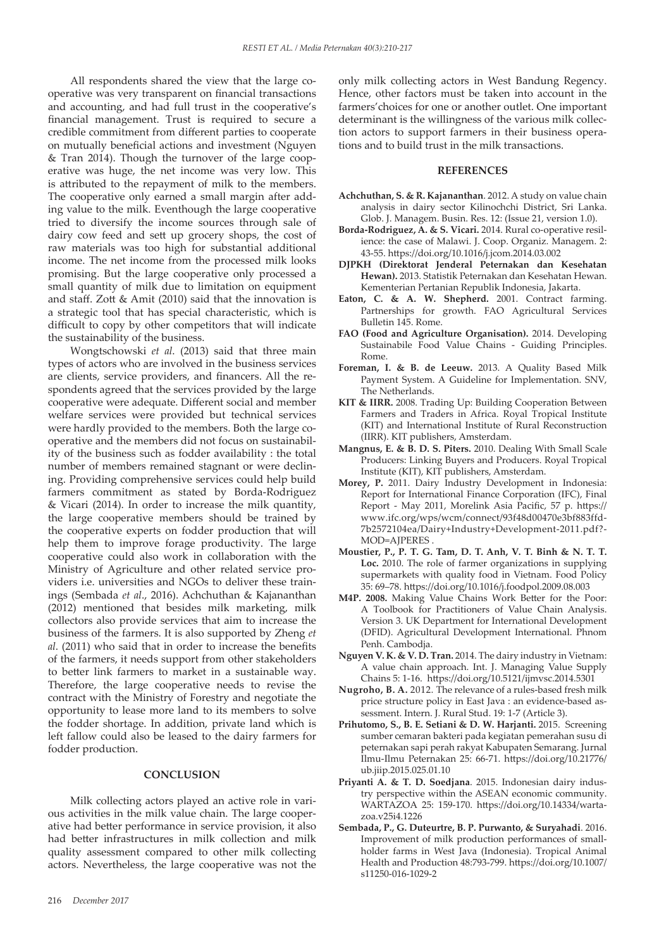All respondents shared the view that the large cooperative was very transparent on financial transactions and accounting, and had full trust in the cooperative's financial management. Trust is required to secure a credible commitment from different parties to cooperate on mutually beneficial actions and investment (Nguyen & Tran 2014). Though the turnover of the large cooperative was huge, the net income was very low. This is attributed to the repayment of milk to the members. The cooperative only earned a small margin after adding value to the milk. Eventhough the large cooperative tried to diversify the income sources through sale of dairy cow feed and sett up grocery shops, the cost of raw materials was too high for substantial additional income. The net income from the processed milk looks promising. But the large cooperative only processed a small quantity of milk due to limitation on equipment and staff. Zott & Amit (2010) said that the innovation is a strategic tool that has special characteristic, which is difficult to copy by other competitors that will indicate the sustainability of the business.

Wongtschowski *et al*. (2013) said that three main types of actors who are involved in the business services are clients, service providers, and financers. All the respondents agreed that the services provided by the large cooperative were adequate. Different social and member welfare services were provided but technical services were hardly provided to the members. Both the large cooperative and the members did not focus on sustainability of the business such as fodder availability : the total number of members remained stagnant or were declining. Providing comprehensive services could help build farmers commitment as stated by Borda-Rodriguez & Vicari (2014). In order to increase the milk quantity, the large cooperative members should be trained by the cooperative experts on fodder production that will help them to improve forage productivity. The large cooperative could also work in collaboration with the Ministry of Agriculture and other related service providers i.e. universities and NGOs to deliver these trainings (Sembada *et al*., 2016). Achchuthan & Kajananthan (2012) mentioned that besides milk marketing, milk collectors also provide services that aim to increase the business of the farmers. It is also supported by Zheng *et al*. (2011) who said that in order to increase the benefits of the farmers, it needs support from other stakeholders to better link farmers to market in a sustainable way. Therefore, the large cooperative needs to revise the contract with the Ministry of Forestry and negotiate the opportunity to lease more land to its members to solve the fodder shortage. In addition, private land which is left fallow could also be leased to the dairy farmers for fodder production.

### **CONCLUSION**

Milk collecting actors played an active role in various activities in the milk value chain. The large cooperative had better performance in service provision, it also had better infrastructures in milk collection and milk quality assessment compared to other milk collecting actors. Nevertheless, the large cooperative was not the only milk collecting actors in West Bandung Regency. Hence, other factors must be taken into account in the farmers'choices for one or another outlet. One important determinant is the willingness of the various milk collection actors to support farmers in their business operations and to build trust in the milk transactions.

#### **REFERENCES**

- **Achchuthan, S. & R. Kajananthan**. 2012. A study on value chain analysis in dairy sector Kilinochchi District, Sri Lanka. Glob. J. Managem. Busin. Res. 12: (Issue 21, version 1.0).
- **Borda-Rodriguez, A. & S. Vicari.** 2014. Rural co-operative resilience: the case of Malawi. J. Coop. Organiz. Managem. 2: 43-55. https://doi.org/10.1016/j.jcom.2014.03.002
- **DJPKH (Direktorat Jenderal Peternakan dan Kesehatan Hewan).** 2013. Statistik Peternakan dan Kesehatan Hewan. Kementerian Pertanian Republik Indonesia, Jakarta.
- **Eaton, C. & A. W. Shepherd.** 2001. Contract farming. Partnerships for growth. FAO Agricultural Services Bulletin 145. Rome.
- **FAO (Food and Agriculture Organisation).** 2014. Developing Sustainabile Food Value Chains - Guiding Principles. Rome.
- **Foreman, I. & B. de Leeuw.** 2013. A Quality Based Milk Payment System. A Guideline for Implementation. SNV, The Netherlands.
- **KIT & IIRR.** 2008. Trading Up: Building Cooperation Between Farmers and Traders in Africa. Royal Tropical Institute (KIT) and International Institute of Rural Reconstruction (IIRR). KIT publishers, Amsterdam.
- **Mangnus, E. & B. D. S. Piters.** 2010. Dealing With Small Scale Producers: Linking Buyers and Producers. Royal Tropical Institute (KIT), KIT publishers, Amsterdam.
- **Morey, P.** 2011. Dairy Industry Development in Indonesia: Report for International Finance Corporation (IFC), Final Report - May 2011, Morelink Asia Pacific, 57 p. https:// www.ifc.org/wps/wcm/connect/93f48d00470e3bf883ffd-7b2572104ea/Dairy+Industry+Development-2011.pdf?- MOD=AJPERES .
- **Moustier, P., P. T. G. Tam, D. T. Anh, V. T. Binh & N. T. T. Loc.** 2010. The role of farmer organizations in supplying supermarkets with quality food in Vietnam. Food Policy 35: 69–78. https://doi.org/10.1016/j.foodpol.2009.08.003
- **M4P. 2008.** Making Value Chains Work Better for the Poor: A Toolbook for Practitioners of Value Chain Analysis. Version 3. UK Department for International Development (DFID). Agricultural Development International. Phnom Penh. Cambodja.
- **Nguyen V. K. & V. D. Tran.** 2014. The dairy industry in Vietnam: A value chain approach. Int. J. Managing Value Supply Chains 5: 1-16. https://doi.org/10.5121/ijmvsc.2014.5301
- **Nugroho, B. A.** 2012. The relevance of a rules-based fresh milk price structure policy in East Java : an evidence-based assessment. Intern. J. Rural Stud. 19: 1-7 (Article 3).
- **Prihutomo, S., B. E. Setiani & D. W. Harjanti.** 2015. Screening sumber cemaran bakteri pada kegiatan pemerahan susu di peternakan sapi perah rakyat Kabupaten Semarang. Jurnal Ilmu-Ilmu Peternakan 25: 66-71. https://doi.org/10.21776/ ub.jiip.2015.025.01.10
- **Priyanti A. & T. D. Soedjana**. 2015. Indonesian dairy industry perspective within the ASEAN economic community. WARTAZOA 25: 159-170. https://doi.org/10.14334/wartazoa.v25i4.1226
- **Sembada, P., G. Duteurtre, B. P. Purwanto, & Suryahadi**. 2016. Improvement of milk production performances of smallholder farms in West Java (Indonesia). Tropical Animal Health and Production 48:793-799. https://doi.org/10.1007/ s11250-016-1029-2